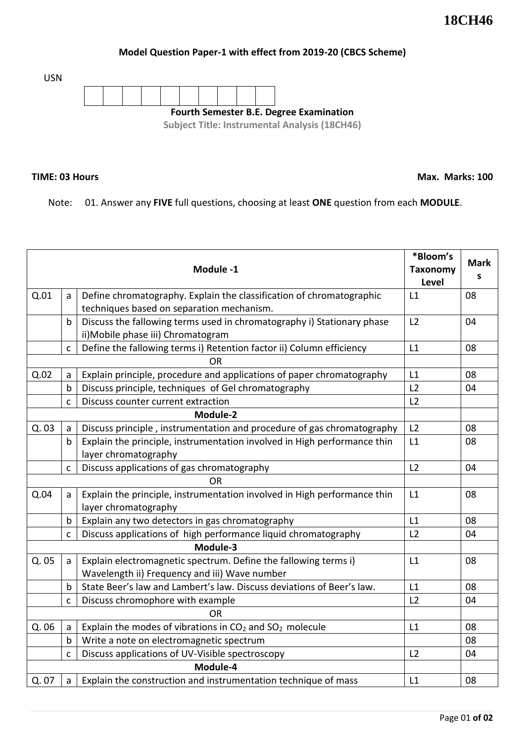## **Model Question Paper-1 with effect from 2019-20 (CBCS Scheme)**

USN



## **TIME: 03 Hours**

**Max. Marks: 100**

Note: 01. Answer any **FIVE** full questions, choosing at least **ONE** question from each **MODULE**.

|           |              | Module -1                                                                                                         | *Bloom's<br><b>Taxonomy</b><br>Level | <b>Mark</b><br>S |
|-----------|--------------|-------------------------------------------------------------------------------------------------------------------|--------------------------------------|------------------|
| Q.01      | a            | Define chromatography. Explain the classification of chromatographic<br>techniques based on separation mechanism. | L1                                   | 08               |
|           | $\mathsf b$  | Discuss the fallowing terms used in chromatography i) Stationary phase<br>ii) Mobile phase iii) Chromatogram      | L2                                   | 04               |
|           | $\mathsf{C}$ | Define the fallowing terms i) Retention factor ii) Column efficiency                                              | L1                                   | 08               |
| <b>OR</b> |              |                                                                                                                   |                                      |                  |
| Q.02      | a            | Explain principle, procedure and applications of paper chromatography                                             | L1                                   | 08               |
|           | $\mathsf b$  | Discuss principle, techniques of Gel chromatography                                                               | L2                                   | 04               |
|           | $\mathsf{C}$ | Discuss counter current extraction                                                                                | L2                                   |                  |
|           |              |                                                                                                                   |                                      |                  |
| Q. 03     | a            | Discuss principle, instrumentation and procedure of gas chromatography                                            | L2                                   | 08               |
|           | $\mathsf b$  | Explain the principle, instrumentation involved in High performance thin<br>layer chromatography                  | L1                                   | 08               |
|           | $\mathsf{C}$ | Discuss applications of gas chromatography                                                                        | L2                                   | 04               |
| <b>OR</b> |              |                                                                                                                   |                                      |                  |
| Q.04      | a            | Explain the principle, instrumentation involved in High performance thin<br>layer chromatography                  | L1                                   | 08               |
|           | $\mathsf b$  | Explain any two detectors in gas chromatography                                                                   | L1                                   | 08               |
|           | $\mathsf{C}$ | Discuss applications of high performance liquid chromatography                                                    | L2                                   | 04               |
|           |              |                                                                                                                   |                                      |                  |
| Q. 05     | a            | Explain electromagnetic spectrum. Define the fallowing terms i)<br>Wavelength ii) Frequency and iii) Wave number  | L1                                   | 08               |
|           | b            | State Beer's law and Lambert's law. Discuss deviations of Beer's law.                                             | L1                                   | 08               |
|           | $\mathsf{C}$ | Discuss chromophore with example                                                                                  | L2                                   | 04               |
| <b>OR</b> |              |                                                                                                                   |                                      |                  |
| Q. 06     | a            | Explain the modes of vibrations in $CO2$ and $SO2$ molecule                                                       | L1                                   | 08               |
|           | $\mathsf b$  | Write a note on electromagnetic spectrum                                                                          |                                      | 08               |
|           | $\mathsf{C}$ | Discuss applications of UV-Visible spectroscopy                                                                   | L2                                   | 04               |
| Module-4  |              |                                                                                                                   |                                      |                  |
| Q. 07     | a            | Explain the construction and instrumentation technique of mass                                                    | L1                                   | 08               |